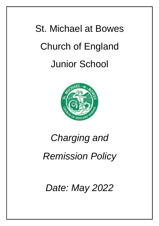# St. Michael at Bowes Church of England Junior School



## *Charging and*

### *Remission Policy*

*Date: May 2022*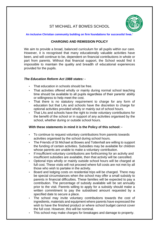### ST MICHAEL AT BOWES SCHOOL

#### **An inclusive Christian community building on firm foundations for successful lives.'**

#### **CHARGING AND REMISSION POLICY**

We aim to provide a broad, balanced curriculum for all pupils within our care. However, it is recognised that many educationally valuable activities have been, and will continue to be, dependent on financial contributions in whole or part from parents. Without that financial support, the School would find it impossible to maintain the quality and breadth of educational experiences provided for the pupils.

#### *The Education Reform Act 1988 states: -*

- That education in schools should be free.
- That activities offered wholly or mainly during normal school teaching time should be available to all pupils regardless of their parents' ability or willingness to help meet the cost.
- That there is no statutory requirement to charge for any form of education but that LAs and schools have the discretion to charge for optional activities provided wholly or mainly out of school hours.
- That LAs and schools have the right to invite voluntary contributions for the benefit of the school or in support of any activities organised by the school, whether during or outside school hours.

#### **With these statements in mind it is the Policy of this school: -**

- To continue to request voluntary contributions from parents towards activities organised by the school during school hours.
- The Friends of St Michael at Bowes and Tottenhall are willing to support the funding of certain activities. Subsidies may be available for children whose parents are unable to make a voluntary contribution.
- If insufficient voluntary contributions are forthcoming for an activity and insufficient subsidies are available, then that activity will be cancelled.
- Optional trips wholly or mainly outside school hours will be charged at full cost. These visits will not proceed where full costs are not met by all those who wish to partake in the activity.
- Board and lodging costs on residential trips will be charged. There may be special circumstances when the school may offer a small subsidy to parents in financial difficulties. These families will be expected to pay a contribution. The percentage of subsidy available will be set annually prior to the visit. Parents willing to apply for a subsidy should make a written commitment to pay the subsidised amount requested by a specified date to secure a place.
- The school may invite voluntary contributions towards the cost of ingredients, materials and equipment where parents have expressed the wish to have the finished product or where school budget cannot cover the full cost. However, this will be nominal.
- This school may make charges for breakages and damage to property.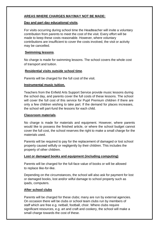#### **AREAS WHERE CHARGES MAY/MAY NOT BE MADE:**

#### **Day and part day educational visits**.

For visits occurring during school time the Headteacher will invite a voluntary contribution from parents to meet the cost of the visit. Every effort will be made to keep these costs reasonable. However, where voluntary contributions are insufficient to cover the costs involved, the visit or activity may be cancelled.

#### **Swimming lessons**.

No charge is made for swimming lessons. The school covers the whole cost of transport and tuition.

#### **Residential visits outside school time**.

Parents will be charged for the full cost of the visit.

#### **Instrumental music tuition.**

Teachers from the Enfield Arts Support Service provide music lessons during the school day, and parents cover the full costs of these lessons. The school will cover the full cost of this service for Pupil Premium children if there are only a few children wishing to take part. If the demand for places increases, the school will part-fund the lessons for each child.

#### **Classroom materials**.

No charge is made for materials and equipment. However, where parents would like to possess the finished article, or where the school budget cannot cover the full cost, the school reserves the right to make a small charge for the materials used.

Parents will be required to pay for the replacement of damaged or lost school property caused wilfully or negligently by their children. This includes the property of other children.

#### **Lost or damaged books and equipment (including computing)**

Parents will be charged for the full-face value of books or will be allowed to replace like-for-like.

Depending on the circumstances, the school will also ask for payment for lost or damaged books, lost and/or wilful damage to school property such as ipads, computers.

#### **After school clubs**

Parents will be charged for these clubs; many are run by external agencies. On occasion there will be clubs or school team clubs run by members of staff which are free e.g. netball, football, choir. Where clubs require significant resources, e.g. art and craft and cookery, the school will make a small charge towards the cost of these.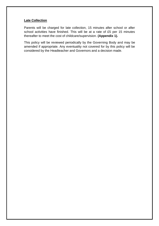#### **Late Collection**

Parents will be charged for late collection, 15 minutes after school or after school activities have finished. This will be at a rate of £5 per 15 minutes thereafter to meet the cost of childcare/supervision. **(Appendix 1).**

This policy will be reviewed periodically by the Governing Body and may be amended if appropriate. Any eventuality not covered for by this policy will be considered by the Headteacher and Governors and a decision made.